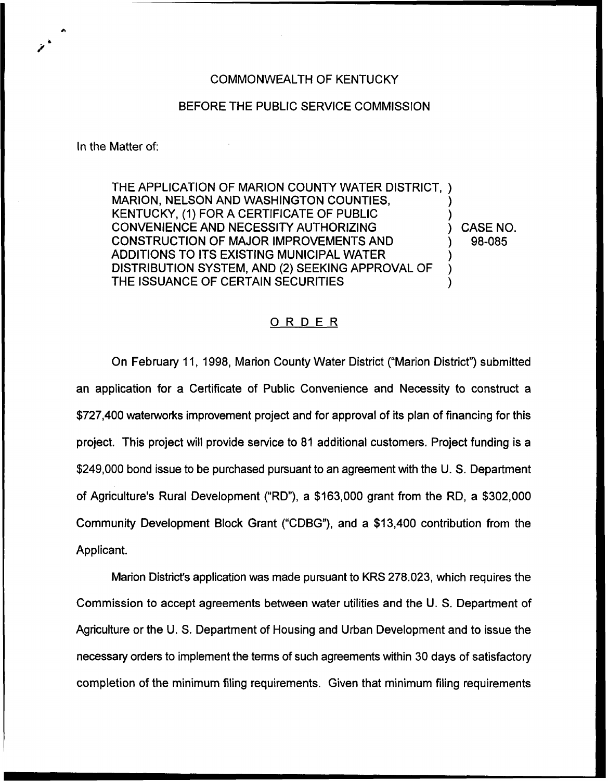## COMMONWEALTH OF KENTUCKY

## BEFORE THE PUBLIC SERVICE COMMISSION

In the Matter of:

THE APPLICATION OF MARION COUNTY WATER DISTRICT, ) MARION, NELSON AND WASHINGTON COUNTIES, KENTUCKY, (1) FOR A CERTIFICATE OF PUBLIC ) CONVENIENCE AND NECESSITY AUTHORIZING (CONSTRUCTION OF MAJOR IMPROVEMENTS AND (1) 98-085 CONSTRUCTION OF MAJOR IMPROVEMENTS AND ADDITIONS TO ITS EXISTING MUNICIPAL WATER DISTRIBUTION SYSTEM, AND (2) SEEKING APPROVAL OF THE ISSUANCE OF CERTAIN SECURITIES

## ORDER

On February 11, 1998, Marion County Water District ("Marion District") submitted an application for a Certificate of Public Convenience and Necessity to construct a \$727,400 waterworks improvement project and for approval of its plan of financing for this project. This project will provide service to 81 additional customers. Project funding is a \$249,000 bond issue to be purchased pursuant to an agreement with the U. S. Department of Agriculture's Rural Development ("RD"), a \$163,000 grant from the RD, a \$302,000 Community Development Block Grant ("CDBG"), and a \$13,400 contribution from the Applicant.

Marion Distnct's application was made pursuant to KRS 278.023, which requires the Commission to accept agreements between water utilities and the U. S. Department of Agriculture or the U. S. Department of Housing and Urban Development and to issue the necessary orders to implement the terms of such agreements within 30 days of satisfactory completion of the minimum filing requirements. Given that minimum filing requirements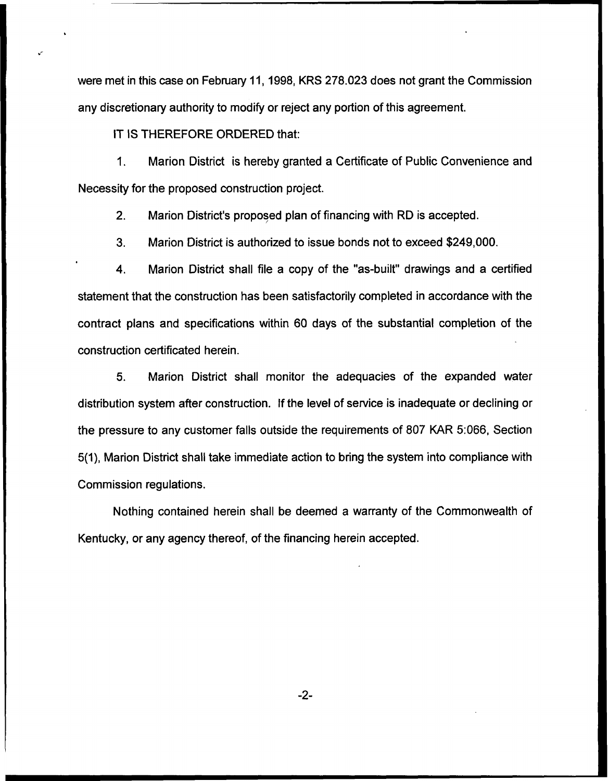were met in this case on February 11, 1998, KRS 278.023 does not grant the Commission any discretionary authority to modify or reject any portion of this agreement.

IT IS THEREFORE ORDERED that:

1. Marion District is hereby granted a Certificate of Public Convenience and Necessity for the proposed construction project.

2. Marion District's proposed plan of financing with RD is accepted.

3. Marion District is authorized to issue bonds not to exceed \$249,000.

4. Marion District shall file a copy of the "as-built" drawings and a certified statement that the construction has been satisfactorily completed in accordance with the contract plans and specifications within 60 days of the substantial completion of the construction certificated herein.

5. Marion District shall monitor the adequacies of the expanded water distribution system after construction. If the level of service is inadequate or declining or the pressure to any customer falls outside the requirements of 807 KAR 5:066, Section 5(1), Marion District shall take immediate action to bring the system into compliance with Commission regulations.

Nothing contained herein shall be deemed a warranty of the Commonwealth of Kentucky, or any agency thereof, of the financing herein accepted.

 $-2-$